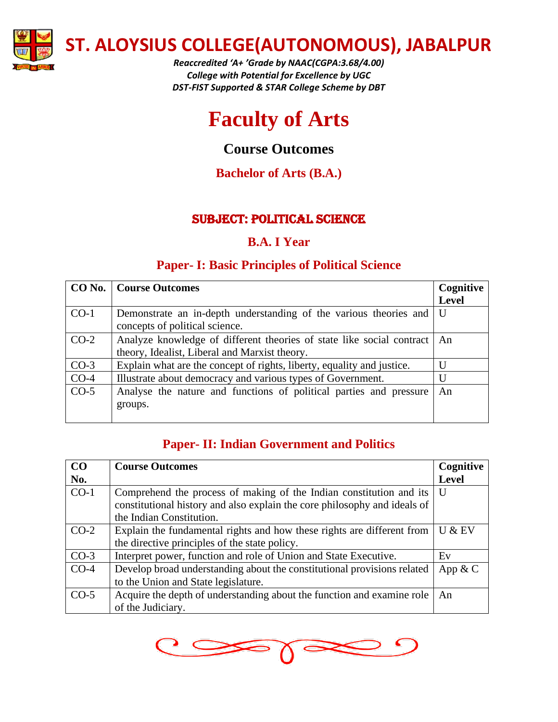

*Reaccredited 'A+ 'Grade by NAAC(CGPA:3.68/4.00) College with Potential for Excellence by UGC DST-FIST Supported & STAR College Scheme by DBT*



# **Course Outcomes**

**Bachelor of Arts (B.A.)**

# SUBJECT: POLITICAL SCIENCE

# **B.A. I Year**

# **Paper- I: Basic Principles of Political Science**

|        | <b>CO No.</b>   Course Outcomes                                            | Cognitive    |
|--------|----------------------------------------------------------------------------|--------------|
|        |                                                                            | <b>Level</b> |
| $CO-1$ | Demonstrate an in-depth understanding of the various theories and          | U            |
|        | concepts of political science.                                             |              |
| $CO-2$ | Analyze knowledge of different theories of state like social contract   An |              |
|        | theory, Idealist, Liberal and Marxist theory.                              |              |
| $CO-3$ | Explain what are the concept of rights, liberty, equality and justice.     | U            |
| $CO-4$ | Illustrate about democracy and various types of Government.                | U            |
| $CO-5$ | Analyse the nature and functions of political parties and pressure         | An           |
|        | groups.                                                                    |              |
|        |                                                                            |              |

### **Paper- II: Indian Government and Politics**

| CO     | <b>Course Outcomes</b>                                                                                                                                                       | Cognitive    |
|--------|------------------------------------------------------------------------------------------------------------------------------------------------------------------------------|--------------|
| No.    |                                                                                                                                                                              | <b>Level</b> |
| $CO-1$ | Comprehend the process of making of the Indian constitution and its<br>constitutional history and also explain the core philosophy and ideals of<br>the Indian Constitution. | U            |
| $CO-2$ | Explain the fundamental rights and how these rights are different from<br>the directive principles of the state policy.                                                      | $U &$ EV     |
| $CO-3$ | Interpret power, function and role of Union and State Executive.                                                                                                             | Ev           |
| $CO-4$ | Develop broad understanding about the constitutional provisions related<br>to the Union and State legislature.                                                               | App $& C$    |
| $CO-5$ | Acquire the depth of understanding about the function and examine role<br>of the Judiciary.                                                                                  | An           |

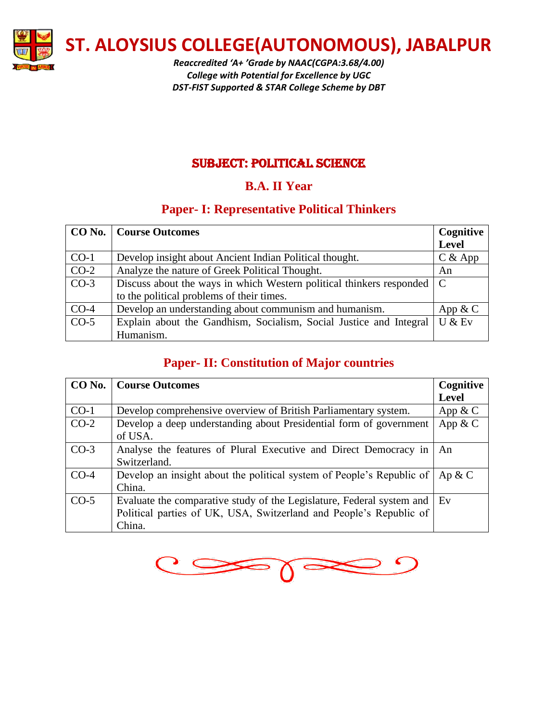

*Reaccredited 'A+ 'Grade by NAAC(CGPA:3.68/4.00) College with Potential for Excellence by UGC DST-FIST Supported & STAR College Scheme by DBT*

#### SUBJECT: POLITICAL SCIENCE

# **B.A. II Year**

### **Paper- I: Representative Political Thinkers**

|        | <b>CO No.</b>   Course Outcomes                                                    | Cognitive |
|--------|------------------------------------------------------------------------------------|-----------|
|        |                                                                                    | Level     |
| $CO-1$ | Develop insight about Ancient Indian Political thought.                            | $C &$ App |
| $CO-2$ | Analyze the nature of Greek Political Thought.                                     | An        |
| $CO-3$ | Discuss about the ways in which Western political thinkers responded $\mathcal{C}$ |           |
|        | to the political problems of their times.                                          |           |
| $CO-4$ | Develop an understanding about communism and humanism.                             | App $& C$ |
| $CO-5$ | Explain about the Gandhism, Socialism, Social Justice and Integral                 | U & EV    |
|        | Humanism.                                                                          |           |

# **Paper- II: Constitution of Major countries**

| $CO$ No. $\overline{ }$ | <b>Course Outcomes</b>                                                   | Cognitive    |
|-------------------------|--------------------------------------------------------------------------|--------------|
|                         |                                                                          | <b>Level</b> |
| $CO-1$                  | Develop comprehensive overview of British Parliamentary system.          | App $& C$    |
| $CO-2$                  | Develop a deep understanding about Presidential form of government       | App $&$ C    |
|                         | of USA.                                                                  |              |
| $CO-3$                  | Analyse the features of Plural Executive and Direct Democracy in         | An           |
|                         | Switzerland.                                                             |              |
| $CO-4$                  | Develop an insight about the political system of People's Republic of    | Ap & C       |
|                         | China.                                                                   |              |
| $CO-5$                  | Evaluate the comparative study of the Legislature, Federal system and Ev |              |
|                         | Political parties of UK, USA, Switzerland and People's Republic of       |              |
|                         | China.                                                                   |              |

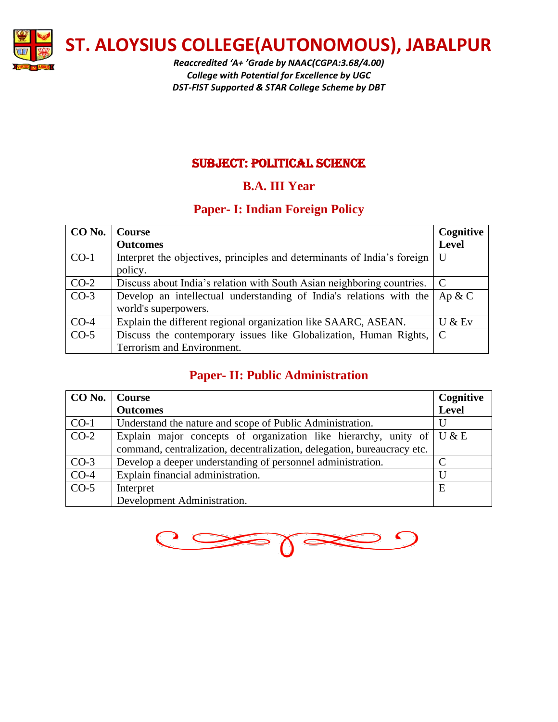

*Reaccredited 'A+ 'Grade by NAAC(CGPA:3.68/4.00) College with Potential for Excellence by UGC DST-FIST Supported & STAR College Scheme by DBT*

#### SUBJECT: POLITICAL SCIENCE

# **B.A. III Year**

# **Paper- I: Indian Foreign Policy**

| $ $ CO No. $ $ | <b>Course</b>                                                            | Cognitive               |
|----------------|--------------------------------------------------------------------------|-------------------------|
|                | <b>Outcomes</b>                                                          | <b>Level</b>            |
| $CO-1$         | Interpret the objectives, principles and determinants of India's foreign | $\mathbf{U}$            |
|                | policy.                                                                  |                         |
| $CO-2$         | Discuss about India's relation with South Asian neighboring countries.   | $\overline{\mathsf{C}}$ |
| $CO-3$         | Develop an intellectual understanding of India's relations with the      | Ap & C                  |
|                | world's superpowers.                                                     |                         |
| $CO-4$         | Explain the different regional organization like SAARC, ASEAN.           | U & EV                  |
| $CO-5$         | Discuss the contemporary issues like Globalization, Human Rights,   C    |                         |
|                | Terrorism and Environment.                                               |                         |

# **Paper- II: Public Administration**

| CO No. | Course                                                                               | Cognitive          |
|--------|--------------------------------------------------------------------------------------|--------------------|
|        | <b>Outcomes</b>                                                                      | <b>Level</b>       |
| $CO-1$ | Understand the nature and scope of Public Administration.                            |                    |
| $CO-2$ | Explain major concepts of organization like hierarchy, unity of $\vert U \& E \vert$ |                    |
|        | command, centralization, decentralization, delegation, bureaucracy etc.              |                    |
| $CO-3$ | Develop a deeper understanding of personnel administration.                          | $\curvearrowright$ |
| $CO-4$ | Explain financial administration.                                                    | U                  |
| $CO-5$ | Interpret                                                                            | E                  |
|        | Development Administration.                                                          |                    |

 $\bullet$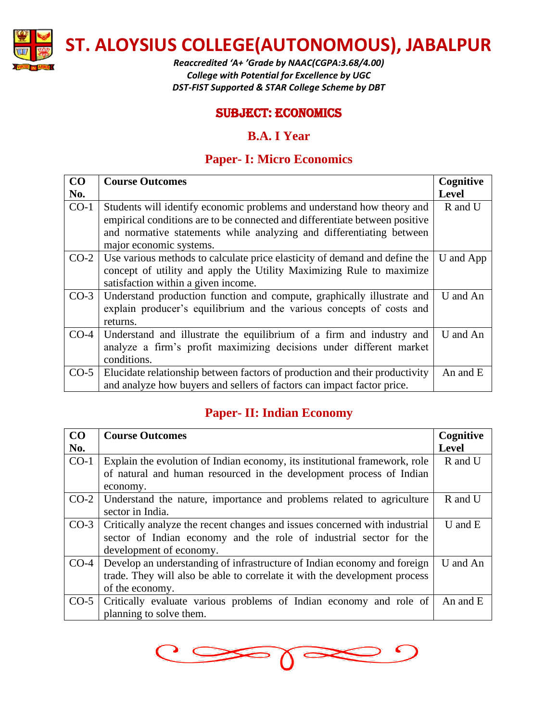

*Reaccredited 'A+ 'Grade by NAAC(CGPA:3.68/4.00) College with Potential for Excellence by UGC DST-FIST Supported & STAR College Scheme by DBT*

#### SUBJECT: Economics

#### **B.A. I Year**

### **Paper- I: Micro Economics**

| CO     | <b>Course Outcomes</b>                                                                                                                                                                                                                                   | Cognitive    |
|--------|----------------------------------------------------------------------------------------------------------------------------------------------------------------------------------------------------------------------------------------------------------|--------------|
| No.    |                                                                                                                                                                                                                                                          | <b>Level</b> |
| $CO-1$ | Students will identify economic problems and understand how theory and<br>empirical conditions are to be connected and differentiate between positive<br>and normative statements while analyzing and differentiating between<br>major economic systems. | R and U      |
| $CO-2$ | Use various methods to calculate price elasticity of demand and define the<br>concept of utility and apply the Utility Maximizing Rule to maximize<br>satisfaction within a given income.                                                                | U and App    |
| $CO-3$ | Understand production function and compute, graphically illustrate and<br>explain producer's equilibrium and the various concepts of costs and<br>returns.                                                                                               | U and An     |
| $CO-4$ | Understand and illustrate the equilibrium of a firm and industry and<br>analyze a firm's profit maximizing decisions under different market<br>conditions.                                                                                               | U and An     |
| $CO-5$ | Elucidate relationship between factors of production and their productivity<br>and analyze how buyers and sellers of factors can impact factor price.                                                                                                    | An and E     |

## **Paper- II: Indian Economy**

| CO     | <b>Course Outcomes</b>                                                     | Cognitive    |
|--------|----------------------------------------------------------------------------|--------------|
| No.    |                                                                            | <b>Level</b> |
| $CO-1$ | Explain the evolution of Indian economy, its institutional framework, role | R and U      |
|        | of natural and human resourced in the development process of Indian        |              |
|        | economy.                                                                   |              |
| $CO-2$ | Understand the nature, importance and problems related to agriculture      | R and U      |
|        | sector in India.                                                           |              |
| $CO-3$ | Critically analyze the recent changes and issues concerned with industrial | $U$ and $E$  |
|        | sector of Indian economy and the role of industrial sector for the         |              |
|        | development of economy.                                                    |              |
| $CO-4$ | Develop an understanding of infrastructure of Indian economy and foreign   | U and An     |
|        | trade. They will also be able to correlate it with the development process |              |
|        | of the economy.                                                            |              |
| $CO-5$ | Critically evaluate various problems of Indian economy and role of         | An and E     |
|        | planning to solve them.                                                    |              |

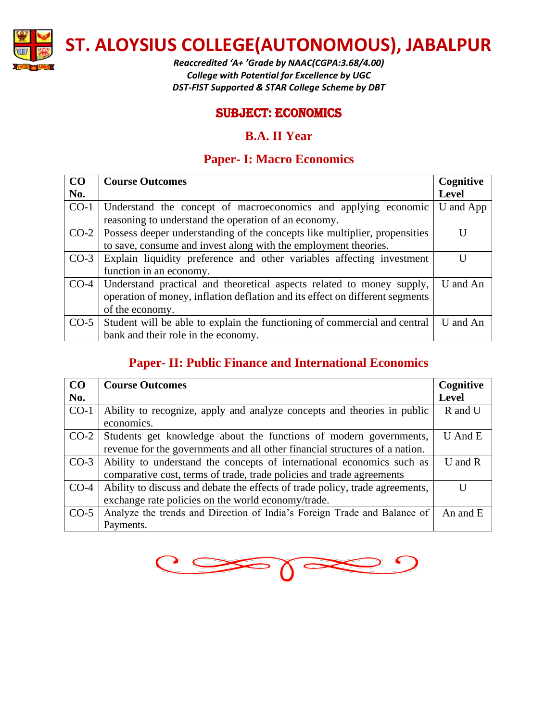

*Reaccredited 'A+ 'Grade by NAAC(CGPA:3.68/4.00) College with Potential for Excellence by UGC DST-FIST Supported & STAR College Scheme by DBT*

#### SUBJECT: Economics

#### **B.A. II Year**

## **Paper- I: Macro Economics**

| CO     | <b>Course Outcomes</b>                                                       | Cognitive    |
|--------|------------------------------------------------------------------------------|--------------|
| No.    |                                                                              | <b>Level</b> |
| $CO-1$ | Understand the concept of macroeconomics and applying economic               | U and App    |
|        | reasoning to understand the operation of an economy.                         |              |
| $CO-2$ | Possess deeper understanding of the concepts like multiplier, propensities   | H            |
|        | to save, consume and invest along with the employment theories.              |              |
| $CO-3$ | Explain liquidity preference and other variables affecting investment        | Ħ            |
|        | function in an economy.                                                      |              |
| $CO-4$ | Understand practical and theoretical aspects related to money supply,        | U and An     |
|        | operation of money, inflation deflation and its effect on different segments |              |
|        | of the economy.                                                              |              |
| $CO-5$ | Student will be able to explain the functioning of commercial and central    | U and An     |
|        | bank and their role in the economy.                                          |              |

# **Paper- II: Public Finance and International Economics**

| CO     | <b>Course Outcomes</b>                                                       | Cognitive    |
|--------|------------------------------------------------------------------------------|--------------|
| No.    |                                                                              | <b>Level</b> |
| $CO-1$ | Ability to recognize, apply and analyze concepts and theories in public      | R and U      |
|        | economics.                                                                   |              |
| $CO-2$ | Students get knowledge about the functions of modern governments,            | $U$ And $E$  |
|        | revenue for the governments and all other financial structures of a nation.  |              |
| $CO-3$ | Ability to understand the concepts of international economics such as        | $U$ and $R$  |
|        | comparative cost, terms of trade, trade policies and trade agreements        |              |
| $CO-4$ | Ability to discuss and debate the effects of trade policy, trade agreements, | IJ           |
|        | exchange rate policies on the world economy/trade.                           |              |
| $CO-5$ | Analyze the trends and Direction of India's Foreign Trade and Balance of     | An and $E$   |
|        | Payments.                                                                    |              |

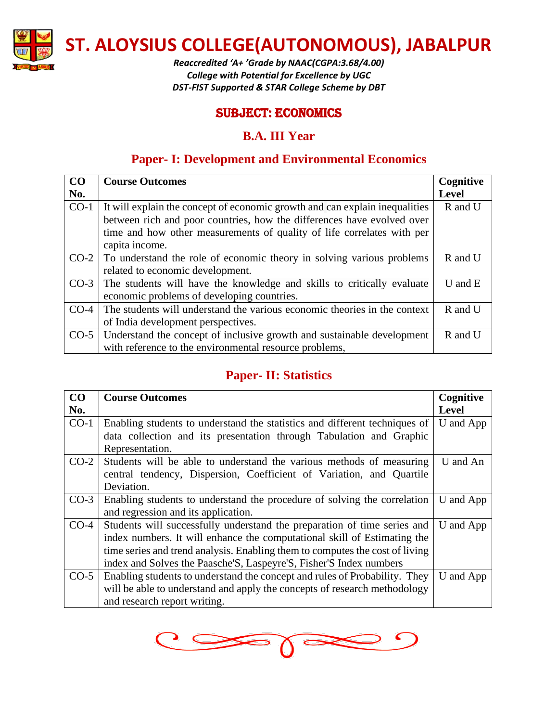

*Reaccredited 'A+ 'Grade by NAAC(CGPA:3.68/4.00) College with Potential for Excellence by UGC DST-FIST Supported & STAR College Scheme by DBT*

#### SUBJECT: Economics

### **B.A. III Year**

# **Paper- I: Development and Environmental Economics**

| CO     | <b>Course Outcomes</b>                                                       | Cognitive    |
|--------|------------------------------------------------------------------------------|--------------|
| No.    |                                                                              | <b>Level</b> |
| $CO-1$ | It will explain the concept of economic growth and can explain inequalities  | R and U      |
|        | between rich and poor countries, how the differences have evolved over       |              |
|        | time and how other measurements of quality of life correlates with per       |              |
|        | capita income.                                                               |              |
|        | $CO-2$ To understand the role of economic theory in solving various problems | R and U      |
|        | related to economic development.                                             |              |
| $CO-3$ | The students will have the knowledge and skills to critically evaluate       | $U$ and $E$  |
|        | economic problems of developing countries.                                   |              |
| $CO-4$ | The students will understand the various economic theories in the context    | R and U      |
|        | of India development perspectives.                                           |              |
| $CO-5$ | Understand the concept of inclusive growth and sustainable development       | R and U      |
|        | with reference to the environmental resource problems,                       |              |

# **Paper- II: Statistics**

| CO     | <b>Course Outcomes</b>                                                       | Cognitive    |
|--------|------------------------------------------------------------------------------|--------------|
| No.    |                                                                              | <b>Level</b> |
| $CO-1$ | Enabling students to understand the statistics and different techniques of   | U and App    |
|        | data collection and its presentation through Tabulation and Graphic          |              |
|        | Representation.                                                              |              |
| $CO-2$ | Students will be able to understand the various methods of measuring         | U and An     |
|        | central tendency, Dispersion, Coefficient of Variation, and Quartile         |              |
|        | Deviation.                                                                   |              |
| $CO-3$ | Enabling students to understand the procedure of solving the correlation     | U and App    |
|        | and regression and its application.                                          |              |
| $CO-4$ | Students will successfully understand the preparation of time series and     | U and App    |
|        | index numbers. It will enhance the computational skill of Estimating the     |              |
|        | time series and trend analysis. Enabling them to computes the cost of living |              |
|        | index and Solves the Paasche'S, Laspeyre'S, Fisher'S Index numbers           |              |
| $CO-5$ | Enabling students to understand the concept and rules of Probability. They   | U and App    |
|        | will be able to understand and apply the concepts of research methodology    |              |
|        | and research report writing.                                                 |              |

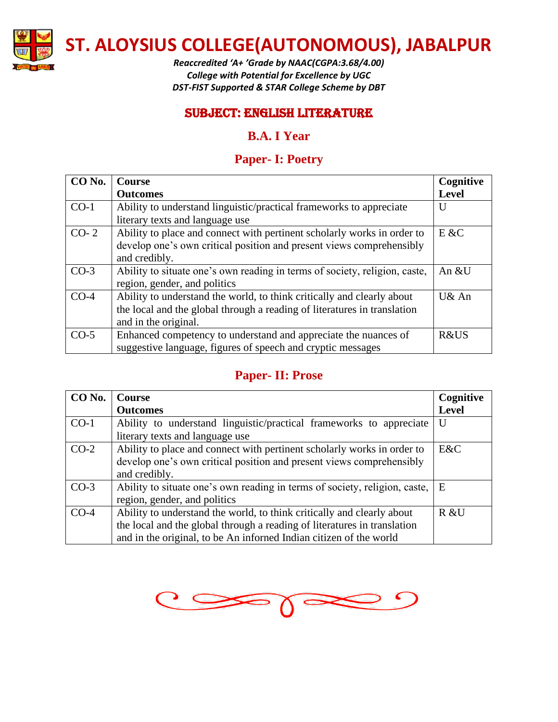

*Reaccredited 'A+ 'Grade by NAAC(CGPA:3.68/4.00) College with Potential for Excellence by UGC DST-FIST Supported & STAR College Scheme by DBT*

### SUBJECT: English literature

## **B.A. I Year**

## **Paper- I: Poetry**

| CO <sub>No.</sub> | <b>Course</b>                                                              | Cognitive    |
|-------------------|----------------------------------------------------------------------------|--------------|
|                   | <b>Outcomes</b>                                                            | <b>Level</b> |
| $CO-1$            | Ability to understand linguistic/practical frameworks to appreciate        | U            |
|                   | literary texts and language use                                            |              |
| $CO-2$            | Ability to place and connect with pertinent scholarly works in order to    | E & C        |
|                   | develop one's own critical position and present views comprehensibly       |              |
|                   | and credibly.                                                              |              |
| $CO-3$            | Ability to situate one's own reading in terms of society, religion, caste, | An &U        |
|                   | region, gender, and politics                                               |              |
| $CO-4$            | Ability to understand the world, to think critically and clearly about     | U& An        |
|                   | the local and the global through a reading of literatures in translation   |              |
|                   | and in the original.                                                       |              |
| $CO-5$            | Enhanced competency to understand and appreciate the nuances of            | R&US         |
|                   | suggestive language, figures of speech and cryptic messages                |              |

# **Paper- II: Prose**

| CO No. | <b>Course</b>                                                                                                                                                                                                            | Cognitive    |
|--------|--------------------------------------------------------------------------------------------------------------------------------------------------------------------------------------------------------------------------|--------------|
|        | <b>Outcomes</b>                                                                                                                                                                                                          | <b>Level</b> |
| $CO-1$ | Ability to understand linguistic/practical frameworks to appreciate<br>literary texts and language use                                                                                                                   | U            |
| $CO-2$ | Ability to place and connect with pertinent scholarly works in order to<br>develop one's own critical position and present views comprehensibly<br>and credibly.                                                         | E&C          |
| $CO-3$ | Ability to situate one's own reading in terms of society, religion, caste,<br>region, gender, and politics                                                                                                               | E            |
| $CO-4$ | Ability to understand the world, to think critically and clearly about<br>the local and the global through a reading of literatures in translation<br>and in the original, to be An informed Indian citizen of the world | R &U         |

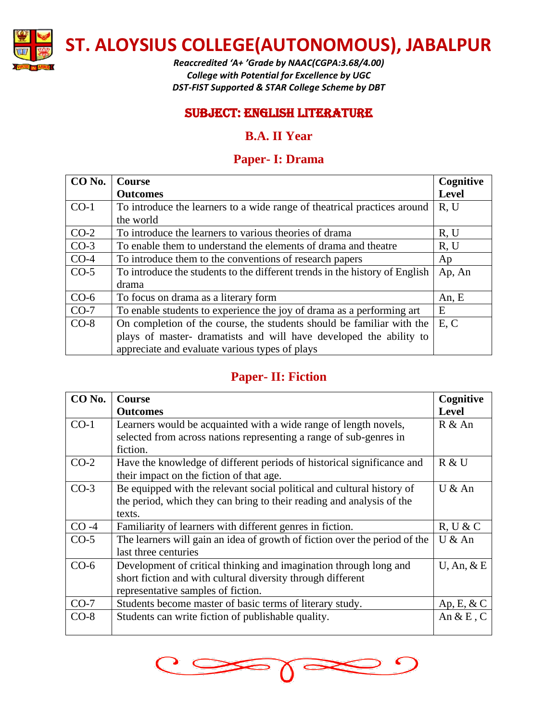

*Reaccredited 'A+ 'Grade by NAAC(CGPA:3.68/4.00) College with Potential for Excellence by UGC DST-FIST Supported & STAR College Scheme by DBT*

#### SUBJECT: English literature

### **B.A. II Year**

## **Paper- I: Drama**

| CO <sub>No.</sub> | <b>Course</b>                                                               | Cognitive    |
|-------------------|-----------------------------------------------------------------------------|--------------|
|                   | <b>Outcomes</b>                                                             | <b>Level</b> |
| $CO-1$            | To introduce the learners to a wide range of theatrical practices around    | R, U         |
|                   | the world                                                                   |              |
| $CO-2$            | To introduce the learners to various theories of drama                      | R, U         |
| $CO-3$            | To enable them to understand the elements of drama and theatre              | R, U         |
| $CO-4$            | To introduce them to the conventions of research papers                     | Ap           |
| $CO-5$            | To introduce the students to the different trends in the history of English | Ap, An       |
|                   | drama                                                                       |              |
| $CO-6$            | To focus on drama as a literary form                                        | An, $E$      |
| $CO-7$            | To enable students to experience the joy of drama as a performing art       | E            |
| $CO-8$            | On completion of the course, the students should be familiar with the       | E, C         |
|                   | plays of master-dramatists and will have developed the ability to           |              |
|                   | appreciate and evaluate various types of plays                              |              |

### **Paper- II: Fiction**

| CO <sub>No.</sub> | <b>Course</b>                                                              | Cognitive        |
|-------------------|----------------------------------------------------------------------------|------------------|
|                   | <b>Outcomes</b>                                                            | <b>Level</b>     |
| $CO-1$            | Learners would be acquainted with a wide range of length novels,           | R & An           |
|                   | selected from across nations representing a range of sub-genres in         |                  |
|                   | fiction.                                                                   |                  |
| $CO-2$            | Have the knowledge of different periods of historical significance and     | R & U            |
|                   | their impact on the fiction of that age.                                   |                  |
| $CO-3$            | Be equipped with the relevant social political and cultural history of     | U & An           |
|                   | the period, which they can bring to their reading and analysis of the      |                  |
|                   | texts.                                                                     |                  |
| $CO -4$           | Familiarity of learners with different genres in fiction.                  | R, U & C         |
| $CO-5$            | The learners will gain an idea of growth of fiction over the period of the | U & An           |
|                   | last three centuries                                                       |                  |
| $CO-6$            | Development of critical thinking and imagination through long and          | $U$ , An, $\&$ E |
|                   | short fiction and with cultural diversity through different                |                  |
|                   | representative samples of fiction.                                         |                  |
| $CO-7$            | Students become master of basic terms of literary study.                   | Ap, E, & C       |
| $CO-8$            | Students can write fiction of publishable quality.                         | An $\&$ E, C     |
|                   |                                                                            |                  |

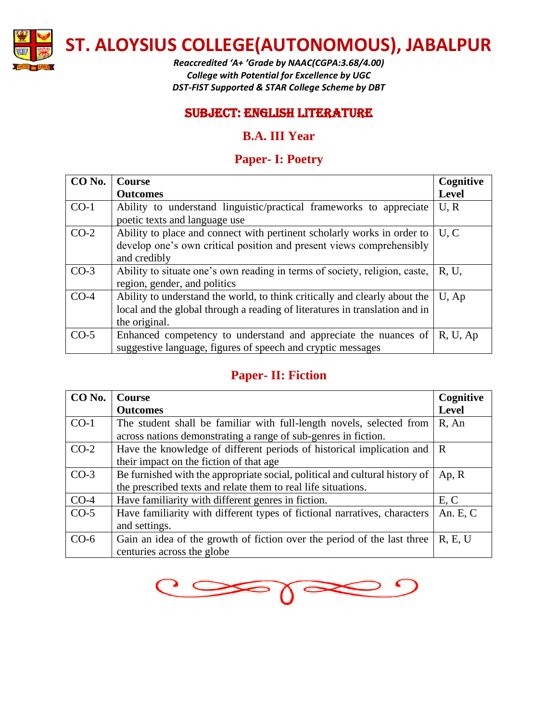

*Reaccredited 'A+ 'Grade by NAAC(CGPA:3.68/4.00) College with Potential for Excellence by UGC DST-FIST Supported & STAR College Scheme by DBT*

### SUBJECT: English literature

# **B.A. III Year**

# **Paper- I: Poetry**

| CO <sub>No.</sub> | <b>Course</b>                                                               | Cognitive    |
|-------------------|-----------------------------------------------------------------------------|--------------|
|                   | <b>Outcomes</b>                                                             | <b>Level</b> |
| $CO-1$            | Ability to understand linguistic/practical frameworks to appreciate         | U, R         |
|                   | poetic texts and language use                                               |              |
| $CO-2$            | Ability to place and connect with pertinent scholarly works in order to     | U, C         |
|                   | develop one's own critical position and present views comprehensibly        |              |
|                   | and credibly                                                                |              |
| $CO-3$            | Ability to situate one's own reading in terms of society, religion, caste,  | R, U,        |
|                   | region, gender, and politics                                                |              |
| $CO-4$            | Ability to understand the world, to think critically and clearly about the  | $U$ , Ap     |
|                   | local and the global through a reading of literatures in translation and in |              |
|                   | the original.                                                               |              |
| $CO-5$            | Enhanced competency to understand and appreciate the nuances of             | R, U, Ap     |
|                   | suggestive language, figures of speech and cryptic messages                 |              |

# **Paper- II: Fiction**

| CO No. | <b>Course</b>                                                               | Cognitive    |
|--------|-----------------------------------------------------------------------------|--------------|
|        | <b>Outcomes</b>                                                             | <b>Level</b> |
| $CO-1$ | The student shall be familiar with full-length novels, selected from        | $R$ , An     |
|        | across nations demonstrating a range of sub-genres in fiction.              |              |
| $CO-2$ | Have the knowledge of different periods of historical implication and       | $\mathbf R$  |
|        | their impact on the fiction of that age                                     |              |
| $CO-3$ | Be furnished with the appropriate social, political and cultural history of | Ap, R        |
|        | the prescribed texts and relate them to real life situations.               |              |
| $CO-4$ | Have familiarity with different genres in fiction.                          | E, C         |
| $CO-5$ | Have familiarity with different types of fictional narratives, characters   | An. E, C     |
|        | and settings.                                                               |              |
| $CO-6$ | Gain an idea of the growth of fiction over the period of the last three     | R, E, U      |
|        | centuries across the globe                                                  |              |

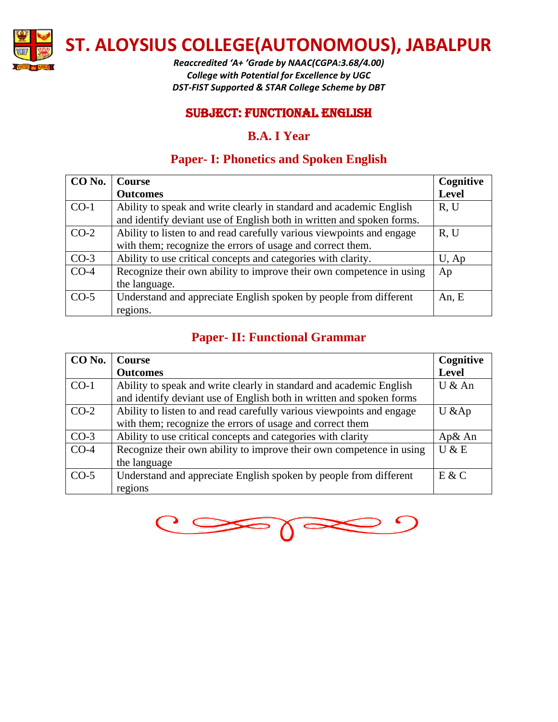

*Reaccredited 'A+ 'Grade by NAAC(CGPA:3.68/4.00) College with Potential for Excellence by UGC DST-FIST Supported & STAR College Scheme by DBT*

#### SUBJECT: functional English

#### **B.A. I Year**

## **Paper- I: Phonetics and Spoken English**

| CO No. | <b>Course</b>                                                                                                                                | Cognitive    |
|--------|----------------------------------------------------------------------------------------------------------------------------------------------|--------------|
|        | <b>Outcomes</b>                                                                                                                              | <b>Level</b> |
| $CO-1$ | Ability to speak and write clearly in standard and academic English<br>and identify deviant use of English both in written and spoken forms. | R, U         |
| $CO-2$ | Ability to listen to and read carefully various viewpoints and engage<br>with them; recognize the errors of usage and correct them.          | R, U         |
| $CO-3$ | Ability to use critical concepts and categories with clarity.                                                                                | U, Ap        |
| $CO-4$ | Recognize their own ability to improve their own competence in using<br>the language.                                                        | Ap           |
| $CO-5$ | Understand and appreciate English spoken by people from different<br>regions.                                                                | An, E        |

# **Paper- II: Functional Grammar**

| CO No. | <b>Course</b>                                                         | Cognitive    |
|--------|-----------------------------------------------------------------------|--------------|
|        | <b>Outcomes</b>                                                       | <b>Level</b> |
| $CO-1$ | Ability to speak and write clearly in standard and academic English   | U & An       |
|        | and identify deviant use of English both in written and spoken forms  |              |
| $CO-2$ | Ability to listen to and read carefully various viewpoints and engage | $U &$ Ap     |
|        | with them; recognize the errors of usage and correct them             |              |
| $CO-3$ | Ability to use critical concepts and categories with clarity          | Ap& An       |
| $CO-4$ | Recognize their own ability to improve their own competence in using  | U & E        |
|        | the language                                                          |              |
| $CO-5$ | Understand and appreciate English spoken by people from different     | E & C        |
|        | regions                                                               |              |

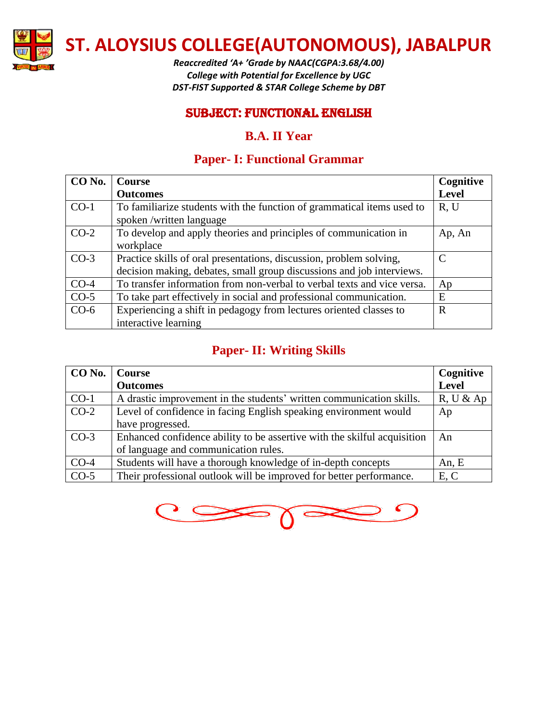

*Reaccredited 'A+ 'Grade by NAAC(CGPA:3.68/4.00) College with Potential for Excellence by UGC DST-FIST Supported & STAR College Scheme by DBT*

#### SUBJECT: functional English

#### **B.A. II Year**

# **Paper- I: Functional Grammar**

| CO No. | <b>Course</b>                                                                                     | Cognitive    |
|--------|---------------------------------------------------------------------------------------------------|--------------|
|        | <b>Outcomes</b>                                                                                   | <b>Level</b> |
| $CO-1$ | To familiarize students with the function of grammatical items used to<br>spoken/written language | R, U         |
| $CO-2$ | To develop and apply theories and principles of communication in<br>workplace                     | Ap, An       |
| $CO-3$ | Practice skills of oral presentations, discussion, problem solving,                               | C            |
|        | decision making, debates, small group discussions and job interviews.                             |              |
| $CO-4$ | To transfer information from non-verbal to verbal texts and vice versa.                           | Ap           |
| $CO-5$ | To take part effectively in social and professional communication.                                | E            |
| $CO-6$ | Experiencing a shift in pedagogy from lectures oriented classes to                                | R            |
|        | interactive learning                                                                              |              |

## **Paper- II: Writing Skills**

| CO No. | Course                                                                   | Cognitive    |
|--------|--------------------------------------------------------------------------|--------------|
|        | <b>Outcomes</b>                                                          | <b>Level</b> |
| $CO-1$ | A drastic improvement in the students' written communication skills.     | R, U & A     |
| $CO-2$ | Level of confidence in facing English speaking environment would         | Ap           |
|        | have progressed.                                                         |              |
| $CO-3$ | Enhanced confidence ability to be assertive with the skilful acquisition | An           |
|        | of language and communication rules.                                     |              |
| $CO-4$ | Students will have a thorough knowledge of in-depth concepts             | An, E        |
| $CO-5$ | Their professional outlook will be improved for better performance.      | E, C         |

 $\Gamma$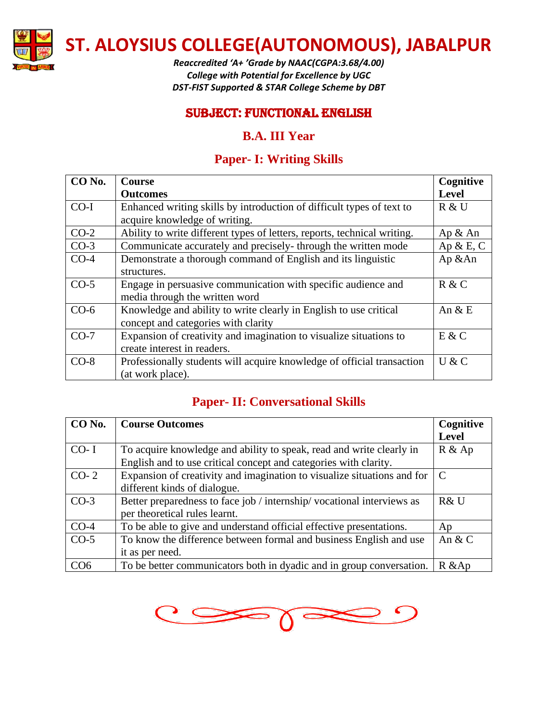

*Reaccredited 'A+ 'Grade by NAAC(CGPA:3.68/4.00) College with Potential for Excellence by UGC DST-FIST Supported & STAR College Scheme by DBT*

#### SUBJECT: functional English

### **B.A. III Year**

# **Paper- I: Writing Skills**

| CO No. | <b>Course</b>                                                            | Cognitive    |
|--------|--------------------------------------------------------------------------|--------------|
|        | <b>Outcomes</b>                                                          | <b>Level</b> |
| $CO-I$ | Enhanced writing skills by introduction of difficult types of text to    | R & U        |
|        | acquire knowledge of writing.                                            |              |
| $CO-2$ | Ability to write different types of letters, reports, technical writing. | Ap & An      |
| $CO-3$ | Communicate accurately and precisely-through the written mode            | Ap $\&$ E, C |
| $CO-4$ | Demonstrate a thorough command of English and its linguistic             | Ap &An       |
|        | structures.                                                              |              |
| $CO-5$ | Engage in persuasive communication with specific audience and            | R & C        |
|        | media through the written word                                           |              |
| $CO-6$ | Knowledge and ability to write clearly in English to use critical        | An $&E$      |
|        | concept and categories with clarity                                      |              |
| $CO-7$ | Expansion of creativity and imagination to visualize situations to       | E & C        |
|        | create interest in readers.                                              |              |
| $CO-8$ | Professionally students will acquire knowledge of official transaction   | U & C        |
|        | (at work place).                                                         |              |

# **Paper- II: Conversational Skills**

| CO No.          | <b>Course Outcomes</b>                                                  | Cognitive     |
|-----------------|-------------------------------------------------------------------------|---------------|
|                 |                                                                         | <b>Level</b>  |
| $CO-1$          | To acquire knowledge and ability to speak, read and write clearly in    | $R \& Ap$     |
|                 | English and to use critical concept and categories with clarity.        |               |
| $CO-2$          | Expansion of creativity and imagination to visualize situations and for | $\mathcal{C}$ |
|                 | different kinds of dialogue.                                            |               |
| $CO-3$          | Better preparedness to face job / internship/ vocational interviews as  | R& U          |
|                 | per theoretical rules learnt.                                           |               |
| $CO-4$          | To be able to give and understand official effective presentations.     | Ap            |
| $CO-5$          | To know the difference between formal and business English and use      | An $&$ C      |
|                 | it as per need.                                                         |               |
| CO <sub>6</sub> | To be better communicators both in dyadic and in group conversation.    | $R &$ Ap      |

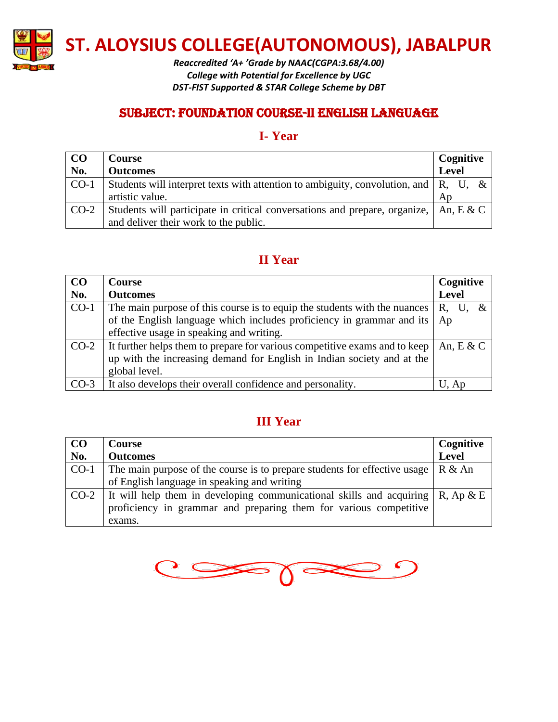

*Reaccredited 'A+ 'Grade by NAAC(CGPA:3.68/4.00) College with Potential for Excellence by UGC DST-FIST Supported & STAR College Scheme by DBT*

### SUBJECT: foundation course-II English language

#### **I- Year**

| CO     | Course                                                                                        | Cognitive    |  |
|--------|-----------------------------------------------------------------------------------------------|--------------|--|
| No.    | <b>Outcomes</b>                                                                               | Level        |  |
| $CO-1$ | Students will interpret texts with attention to ambiguity, convolution, and $\parallel$ R, U, |              |  |
|        | artistic value.                                                                               | Ap           |  |
| $CO-2$ | Students will participate in critical conversations and prepare, organize,                    | An, $E \& C$ |  |
|        | and deliver their work to the public.                                                         |              |  |

### **II Year**

| CO     | <b>Course</b>                                                              | Cognitive    |  |
|--------|----------------------------------------------------------------------------|--------------|--|
| No.    | <b>Outcomes</b>                                                            | <b>Level</b> |  |
| $CO-1$ | The main purpose of this course is to equip the students with the nuances  | R.           |  |
|        | of the English language which includes proficiency in grammar and its      | Ap           |  |
|        | effective usage in speaking and writing.                                   |              |  |
| $CO-2$ | It further helps them to prepare for various competitive exams and to keep | An, $E \& C$ |  |
|        | up with the increasing demand for English in Indian society and at the     |              |  |
|        | global level.                                                              |              |  |
| $CO-3$ | It also develops their overall confidence and personality.                 | U, Ap        |  |

# **III Year**

| CO     | <b>Course</b>                                                                                 | Cognitive |
|--------|-----------------------------------------------------------------------------------------------|-----------|
| No.    | <b>Outcomes</b>                                                                               | Level     |
| $CO-1$ | The main purpose of the course is to prepare students for effective usage $\mid R \& An \mid$ |           |
|        | of English language in speaking and writing                                                   |           |
|        | CO-2   It will help them in developing communicational skills and acquiring $\mid$ R, Ap & E  |           |
|        | proficiency in grammar and preparing them for various competitive                             |           |
|        | exams.                                                                                        |           |

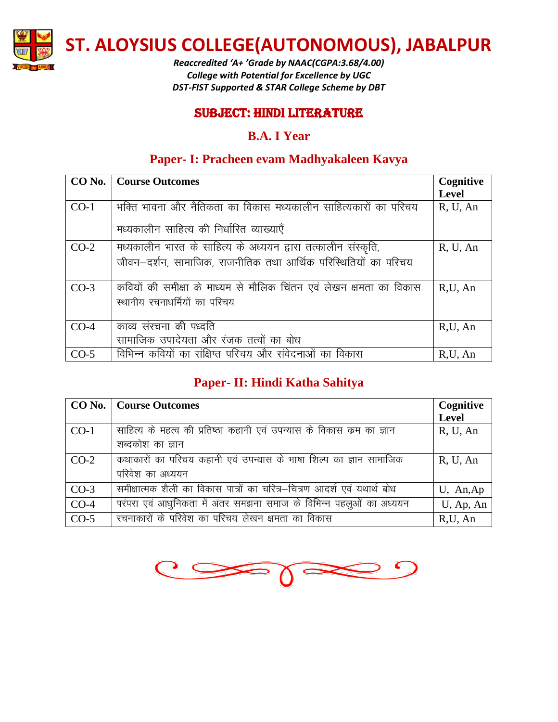

*Reaccredited 'A+ 'Grade by NAAC(CGPA:3.68/4.00) College with Potential for Excellence by UGC DST-FIST Supported & STAR College Scheme by DBT*

#### SUBJECT: hindi literature

#### **B.A. I Year**

## **Paper- I: Pracheen evam Madhyakaleen Kavya**

|        | <b>CO No.</b>   Course Outcomes                                     | Cognitive    |
|--------|---------------------------------------------------------------------|--------------|
|        |                                                                     | <b>Level</b> |
| $CO-1$ | भक्ति भावना और नैतिकता का विकास मध्यकालीन साहित्यकारों का परिचय     | R, U, An     |
|        | मध्यकालीन साहित्य की निर्धारित व्याख्याएँ                           |              |
| $CO-2$ | मध्यकालीन भारत के साहित्य के अध्ययन द्वारा तत्कालीन संस्कृति,       | R, U, An     |
|        | जीवन–दर्शन, सामाजिक, राजनीतिक तथा आर्थिक परिस्थितियों का परिचय      |              |
| $CO-3$ | कवियों की समीक्षा के माध्यम से मौलिक चिंतन एवं लेखन क्षमता का विकास | R,U, An      |
|        | स्थानीय रचनाधर्मियों का परिचय                                       |              |
| $CO-4$ | काव्य संरचना की पध्दति                                              | R,U, An      |
|        | सामाजिक उपादेयता और रंजक तत्वों का बोध                              |              |
| $CO-5$ | विभिन्न कवियों का संक्षिप्त परिचय और संवेदनाओं का विकास             | R,U, An      |

# **Paper- II: Hindi Katha Sahitya**

|        | CO No.   Course Outcomes                                                | Cognitive    |
|--------|-------------------------------------------------------------------------|--------------|
|        |                                                                         | <b>Level</b> |
| $CO-1$ | साहित्य के महत्व की प्रतिष्ठा कहानी एवं उपन्यास के विकास कम का ज्ञान    | R, U, An     |
|        | शब्दकोश का ज्ञान                                                        |              |
| $CO-2$ | कथाकारों का परिचय कहानी एवं उपन्यास के भाषा शिल्प का ज्ञान सामाजिक      | R, U, An     |
|        | परिवेश का अध्ययन                                                        |              |
| $CO-3$ | समीक्षात्मक शैली का विकास पात्रों का चरित्र–चित्रण आदर्श एवं यथार्थ बोध | U, An,Ap     |
| $CO-4$ | परंपरा एवं आधुनिकता में अंतर समझना समाज के विभिन्न पहलुओं का अध्ययन     | U, Ap, An    |
| $CO-5$ | रचनाकारों के परिवेश का परिचय लेखन क्षमता का विकास                       | R,U, An      |

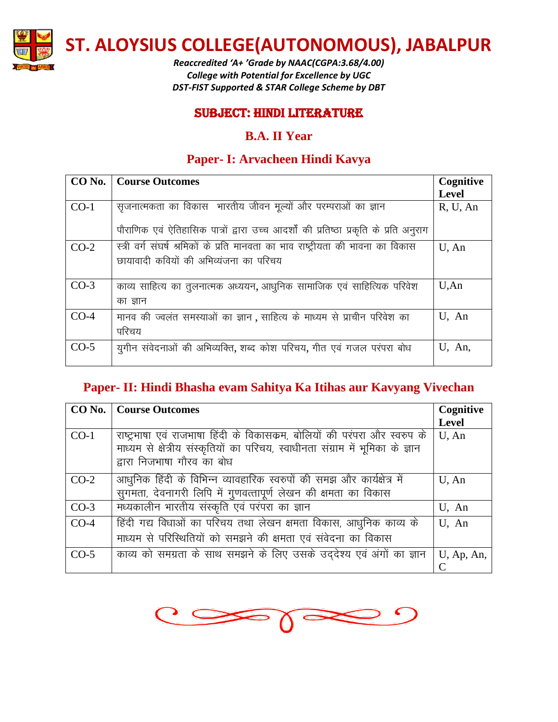

*Reaccredited 'A+ 'Grade by NAAC(CGPA:3.68/4.00) College with Potential for Excellence by UGC DST-FIST Supported & STAR College Scheme by DBT*

#### SUBJECT: hindi literature

### **B.A. II Year**

## **Paper- I: Arvacheen Hindi Kavya**

| CO No. | Course Outcomes                                                                       | Cognitive    |
|--------|---------------------------------------------------------------------------------------|--------------|
|        |                                                                                       | <b>Level</b> |
| $CO-1$ | सृजनात्मकता का विकास भारतीय जीवन मूल्यों और परम्पराओं का ज्ञान                        | R, U, An     |
|        | पौराणिक एवं ऐतिहासिक पात्रों द्वारा उच्च आदर्शों की प्रतिष्ठा प्रकृति के प्रति अनुराग |              |
| $CO-2$ | स्त्री वर्ग संघर्ष श्रमिकों के प्रति मानवता का भाव राष्ट्रीयता की भावना का विकास      | U, An        |
|        | छायावादी कवियों की अभिव्यंजना का परिचय                                                |              |
|        |                                                                                       |              |
| $CO-3$ | काव्य साहित्य का तुलनात्मक अध्ययन, आधुनिक सामाजिक एवं साहित्यिक परिवेश                | U, An        |
|        | का ज्ञान                                                                              |              |
| $CO-4$ | मानव की ज्वलंत समस्याओं का ज्ञान, साहित्य के माध्यम से प्राचीन परिवेश का              | U, An        |
|        | परिचय                                                                                 |              |
| $CO-5$ | युगीन संवेदनाओं की अभिव्यक्ति, शब्द कोश परिचय, गीत एवं गजल परंपरा बोध                 | U, An,       |
|        |                                                                                       |              |

# **Paper- II: Hindi Bhasha evam Sahitya Ka Itihas aur Kavyang Vivechan**

|        | <b>CO No.</b>   Course Outcomes                                                 | Cognitive    |
|--------|---------------------------------------------------------------------------------|--------------|
|        |                                                                                 | <b>Level</b> |
| $CO-1$ | राष्ट्रभाषा एवं राजभाषा हिंदी के विकासकम, बोलियों की परंपरा और स्वरुप के        | U, An        |
|        | माध्यम से क्षेत्रीय संस्कृतियों का परिचय, स्वाधीनता संग्राम में भूमिका के ज्ञान |              |
|        | द्वारा निजभाषा गौरव का बोध                                                      |              |
| $CO-2$ | आधुनिक हिंदी के विभिन्न व्यावहारिक स्वरुपों की समझ और कार्यक्षेत्र में          | $U$ , An     |
|        | सुगमता, देवनागरी लिपि में गुणवत्तापूर्ण लेखन की क्षमता का विकास                 |              |
| $CO-3$ | मध्यकालीन भारतीय संस्कृति एवं परंपरा का ज्ञान                                   | U, An        |
| $CO-4$ | हिंदी गद्य विधाओं का परिचय तथा लेखन क्षमता विकास, आधुनिक काव्य के               | U, An        |
|        | माध्यम से परिस्थितियों को समझने की क्षमता एवं संवेदना का विकास                  |              |
| $CO-5$ | काव्य को समग्रता के साथ समझने के लिए उसके उद्देश्य एवं अंगों का ज्ञान           | U, Ap, An,   |
|        |                                                                                 |              |

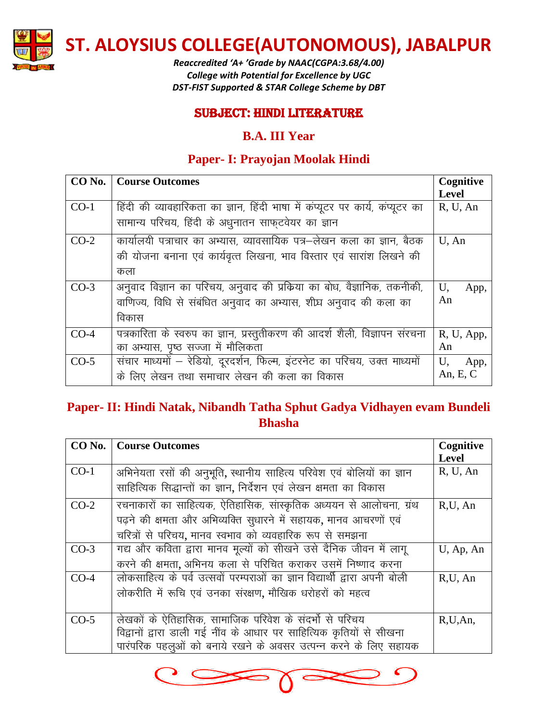

*Reaccredited 'A+ 'Grade by NAAC(CGPA:3.68/4.00) College with Potential for Excellence by UGC DST-FIST Supported & STAR College Scheme by DBT*

#### SUBJECT: hindi literature

### **B.A. III Year**

# **Paper- I: Prayojan Moolak Hindi**

|        | <b>CO No.</b>   Course Outcomes                                               | Cognitive    |
|--------|-------------------------------------------------------------------------------|--------------|
|        |                                                                               | <b>Level</b> |
| $CO-1$ | हिंदी की व्यावहारिकता का ज्ञान, हिंदी भाषा में कंप्यूटर पर कार्य, कंप्यूटर का | R, U, An     |
|        | सामान्य परिचय, हिंदी के अधुनातन साफ्टवेयर का ज्ञान                            |              |
| $CO-2$ | कार्यालयी पत्राचार का अभ्यास, व्यावसायिक पत्र–लेखन कला का ज्ञान, बैठक         | $U$ , An     |
|        | की योजना बनाना एवं कार्यवृत्त लिखना, भाव विस्तार एवं सारांश लिखने की          |              |
|        | कला                                                                           |              |
| $CO-3$ | अनुवाद विज्ञान का परिचय, अनुवाद की प्रकिया का बोध, वैज्ञानिक, तकनीकी,         | U,<br>App,   |
|        | वाणिज्य, विधि से संबंधित अनुवाद का अभ्यास, शीघ्र अनुवाद की कला का             | An           |
|        | विकास                                                                         |              |
| $CO-4$ | पत्रकारिता के स्वरुप का ज्ञान, प्रस्तुतीकरण की आदर्श शैली, विज्ञापन संरचना    | R, U, App,   |
|        | का अभ्यास, पृष्ठ सज्जा में मौलिकता                                            | An           |
| $CO-5$ | संचार माध्यमों – रेडियो, दूरदर्शन, फिल्म, इंटरनेट का परिचय, उक्त माध्यमों     | U,<br>App,   |
|        | के लिए लेखन तथा समाचार लेखन की कला का विकास                                   | An, E, C     |

# **Paper- II: Hindi Natak, Nibandh Tatha Sphut Gadya Vidhayen evam Bundeli Bhasha**

| CO No. | <b>Course Outcomes</b>                                                    | Cognitive    |
|--------|---------------------------------------------------------------------------|--------------|
|        |                                                                           | <b>Level</b> |
| $CO-1$ | अभिनेयता रसों की अनुभूति, स्थानीय साहित्य परिवेश एवं बोलियों का ज्ञान     | R, U, An     |
|        | साहित्यिक सिद्धान्तों का ज्ञान, निर्देशन एवं लेखन क्षमता का विकास         |              |
| $CO-2$ | रचनाकारों का साहित्यक, ऐतिहासिक, सांस्कृतिक अध्ययन से आलोचना, ग्रंथ       | R,U, An      |
|        | पढ़ने की क्षमता और अभिव्यक्ति सूधारने में सहायक, मानव आचरणों एवं          |              |
|        | चरित्रों से परिचय, मानव स्वभाव को व्यवहारिक रूप से समझना                  |              |
| $CO-3$ | गद्य और कविता द्वारा मानव मूल्यों को सीखने उसे दैनिक जीवन में लागू        | U, Ap, An    |
|        | करने की क्षमता, अभिनय कला से परिचित कराकर उसमें निष्णाद करना              |              |
| $CO-4$ | लोकसाहित्य के पर्व उत्सवों परम्पराओं का ज्ञान विद्यार्थी द्वारा अपनी बोली | R,U, An      |
|        | लोकरीति में रूचि एवं उनका संरक्षण, मौखिक धरोहरों को महत्व                 |              |
|        |                                                                           |              |
| $CO-5$ | लेखकों के ऐतिहासिक, सामाजिक परिवेश के संदर्भो से परिचय                    | R, U, An,    |
|        | विद्वानों द्वारा डाली गई नींव के आधार पर साहित्यिक कृतियों से सीखना       |              |
|        | पारंपरिक पहलूओं को बनाये रखने के अवसर उत्पन्न करने के लिए सहायक           |              |

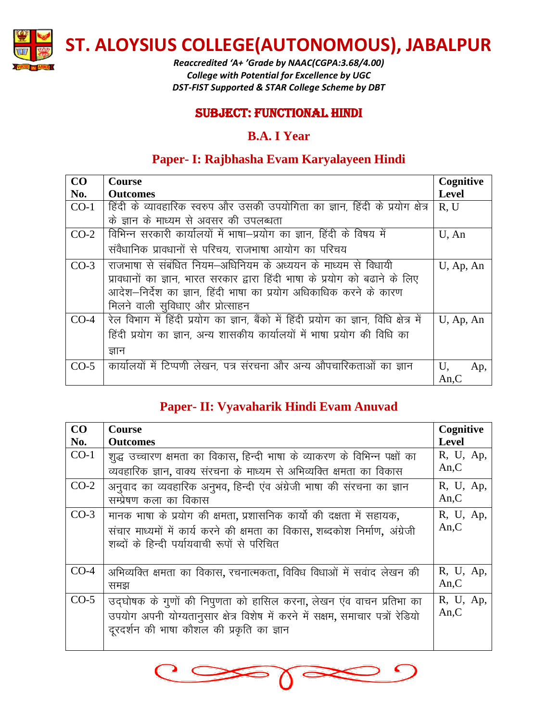

*Reaccredited 'A+ 'Grade by NAAC(CGPA:3.68/4.00) College with Potential for Excellence by UGC DST-FIST Supported & STAR College Scheme by DBT*

#### SUBJECT: Functional Hindi

## **B.A. I Year**

# **Paper- I: Rajbhasha Evam Karyalayeen Hindi**

| CO     | <b>Course</b>                                                                          | Cognitive    |
|--------|----------------------------------------------------------------------------------------|--------------|
| No.    | <b>Outcomes</b>                                                                        | <b>Level</b> |
| $CO-1$ | हिंदी के व्यावहारिक स्वरुप और उसकी उपयोगिता का ज्ञान, हिंदी के प्रयोग क्षेत्र          | R, U         |
|        | के ज्ञान के माध्यम से अवसर की उपलब्धता                                                 |              |
| $CO-2$ | विभिन्न सरकारी कार्यालयों में भाषा–प्रयोग का ज्ञान, हिंदी के विषय में                  | $U$ , An     |
|        | संवैधानिक प्रावधानों से परिचय, राजभाषा आयोग का परिचय                                   |              |
| $CO-3$ | राजभाषा से संबंधित नियम–अधिनियम के अध्ययन के माध्यम से विधायी                          | U, Ap, An    |
|        | प्रावधानों का ज्ञान, भारत सरकार द्वारा हिंदी भाषा के प्रयोग को बढाने के लिए            |              |
|        | आदेश—निर्देश का ज्ञान, हिंदी भाषा का प्रयोग अधिकाधिक करने के कारण                      |              |
|        | मिलने वाली सुविधाए और प्रोत्साहन                                                       |              |
| $CO-4$ | रेल विभाग में हिंदी प्रयोग का ज्ञान, बैंको में हिंदी प्रयोग का ज्ञान, विधि क्षेत्र में | U, Ap, An    |
|        | हिंदी प्रयोग का ज्ञान, अन्य शासकीय कार्यालयों में भाषा प्रयोग की विधि का               |              |
|        | ज्ञान                                                                                  |              |
| $CO-5$ | कार्यालयों में टिप्पणी लेखन, पत्र संरचना और अन्य औपचारिकताओं का ज्ञान                  | U,<br>Ap,    |
|        |                                                                                        | An,C         |

# **Paper- II: Vyavaharik Hindi Evam Anuvad**

| CO     | <b>Course</b>                                                                  | Cognitive    |
|--------|--------------------------------------------------------------------------------|--------------|
| No.    | <b>Outcomes</b>                                                                | <b>Level</b> |
| $CO-1$ | शूद्ध उच्चारण क्षमता का विकास, हिन्दी भाषा के व्याकरण के विभिन्न पक्षों का     | R, U, Ap,    |
|        | व्यवहारिक ज्ञान, वाक्य संरचना के माध्यम से अभिव्यक्ति क्षमता का विकास          | An, C        |
| $CO-2$ | अनुवाद का व्यवहारिक अनुभव, हिन्दी एंव अंग्रेजी भाषा की संरचना का ज्ञान         | R, U, Ap,    |
|        | सम्प्रेषण कला का विकास                                                         | An, C        |
| $CO-3$ | मानक भाषा के प्रयोग की क्षमता, प्रशासनिक कार्यो की दक्षता में सहायक,           | R, U, Ap,    |
|        | संचार माध्यमों में कार्य करने की क्षमता का विकास, शब्दकोश निर्माण, अंग्रेजी    | An, C        |
|        | शब्दों के हिन्दी पर्यायवाची रूपों से परिचित                                    |              |
|        |                                                                                |              |
| $CO-4$ | अभिव्यक्ति क्षमता का विकास, रचनात्मकता, विविध विधाओं में सवांद लेखन की         | R, U, Ap,    |
|        | समझ                                                                            | An, C        |
| $CO-5$ | उद्घोषक के गुणों की निपुणता को हासिल करना, लेखन एंव वाचन प्रतिभा का            | R, U, Ap,    |
|        | उपयोग अपनी योग्यतानुसार क्षेत्र विशेष में करने में सक्षम, समाचार पत्रों रेडियो | An, C        |
|        | दूरदर्शन की भाषा कौशल की प्रकृति का ज्ञान                                      |              |
|        |                                                                                |              |

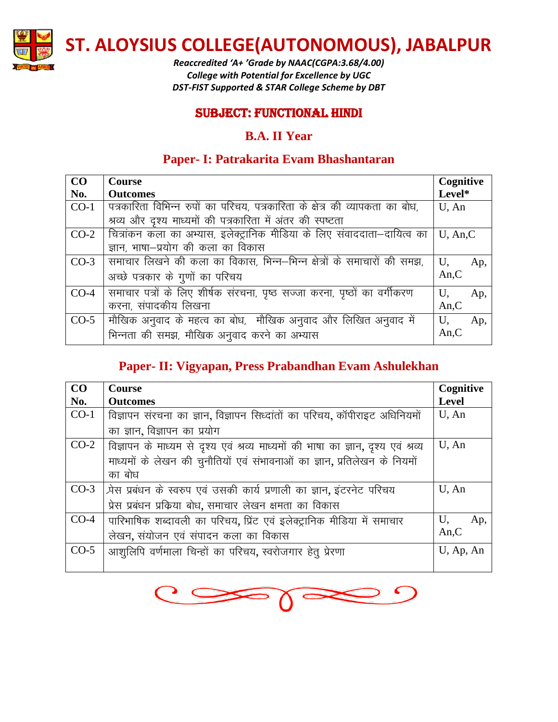

*Reaccredited 'A+ 'Grade by NAAC(CGPA:3.68/4.00) College with Potential for Excellence by UGC DST-FIST Supported & STAR College Scheme by DBT*

#### SUBJECT: Functional Hindi

### **B.A. II Year**

# **Paper- I: Patrakarita Evam Bhashantaran**

| CO     | <b>Course</b>                                                                | Cognitive   |     |
|--------|------------------------------------------------------------------------------|-------------|-----|
| No.    | <b>Outcomes</b>                                                              | Level*      |     |
| $CO-1$ | पत्रकारिता विभिन्न रुपों का परिचय, पत्रकारिता के क्षेत्र की व्यापकता का बोध, | $U$ , An    |     |
|        | श्रव्य और दृश्य माध्यमों की पत्रकारिता में अंतर की स्पष्टता                  |             |     |
| $CO-2$ | क्त्रित्रांकन कला का अभ्यास, इलेक्ट्रानिक मीडिया के लिए संवाददाता–दायित्व का | $U$ , An, C |     |
|        | ज्ञान, भाषा–प्रयोग की कला का विकास                                           |             |     |
| $CO-3$ | समाचार लिखने की कला का विकास, भिन्न–भिन्न क्षेत्रों के समाचारों की समझ,      | U,          | Ap, |
|        | अच्छे पत्रकार के गुणों का परिचय                                              | An, C       |     |
| $CO-4$ | समाचार पत्रों के लिए शीर्षक संरचना, पृष्ठ सज्जा करना, पृष्ठों का वर्गीकरण    | U,          | Ap, |
|        | करना, संपादकीय लिखना                                                         | An, C       |     |
| $CO-5$ | मौखिक अनुवाद के महत्व का बोध, पोंखिक अनुवाद और लिखित अनुवाद में              | U,          | Ap, |
|        | भिन्नता की समझ, मौखिक अनुवाद करने का अभ्यास                                  | An, C       |     |

# **Paper- II: Vigyapan, Press Prabandhan Evam Ashulekhan**

| CO     | <b>Course</b>                                                                             | Cognitive    |
|--------|-------------------------------------------------------------------------------------------|--------------|
| No.    | <b>Outcomes</b>                                                                           | Level        |
| $CO-1$ | विज्ञापन संरचना का ज्ञान, विज्ञापन सिध्दांतों का परिचय, कॉपीराइट अधिनियमों                | $U$ , An     |
|        | का ज्ञान, विज्ञापन का प्रयोग                                                              |              |
|        | CO-2   विज्ञापन के माध्यम से दृश्य एवं श्रव्य माध्यमों की भाषा का ज्ञान, दृश्य एवं श्रव्य | $U$ , An     |
|        | माध्यमों के लेखन की चुनौतियों एवं संभावनाओं का ज्ञान, प्रतिलेखन के नियमों                 |              |
|        | का बोध                                                                                    |              |
|        | CO-3   प्रेस प्रबंधन के स्वरुप एवं उसकी कार्य प्रणाली का ज्ञान, इंटरनेट परिचय             | $U$ , An     |
|        | प्रेस प्रबंधन प्रक्रिया बोध, समाचार लेखन क्षमता का विकास                                  |              |
| $CO-4$ | पारिभाषिक शब्दावली का परिचय, प्रिंट एवं इलेक्ट्रानिक मीडिया में समाचार                    | U,<br>Ap,    |
|        | लेखन, संयोजन एवं संपादन कला का विकास                                                      | An, C        |
| $CO-5$ | आशुलिपि वर्णमाला चिन्हों का परिचय, स्वरोजगार हेतू प्रेरणा                                 | $U$ , Ap, An |
|        |                                                                                           |              |

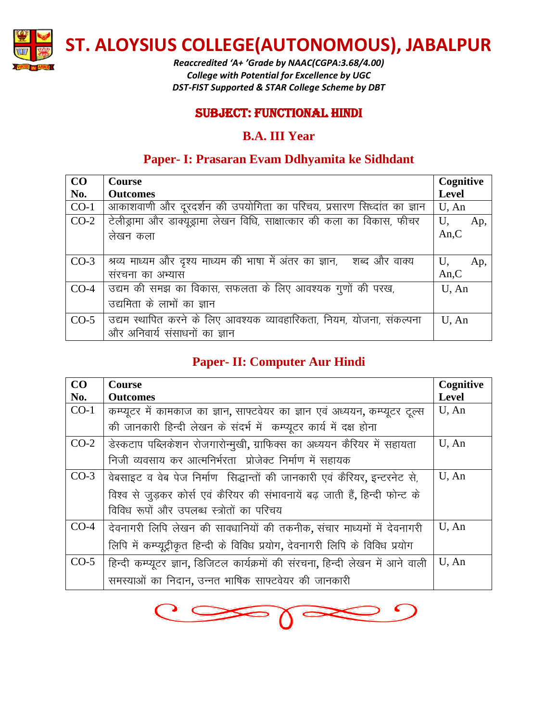

*Reaccredited 'A+ 'Grade by NAAC(CGPA:3.68/4.00) College with Potential for Excellence by UGC DST-FIST Supported & STAR College Scheme by DBT*

#### SUBJECT: Functional Hindi

#### **B.A. III Year**

## **Paper- I: Prasaran Evam Ddhyamita ke Sidhdant**

| CO     | <b>Course</b>                                                               | Cognitive    |
|--------|-----------------------------------------------------------------------------|--------------|
| No.    | <b>Outcomes</b>                                                             | <b>Level</b> |
| $CO-1$ | आकाशवाणी और दूरदर्शन की उपयोगिता का परिचय, प्रसारण सिध्दांत का ज्ञान        | $U$ , An     |
| $CO-2$ | टेलीड्रामा और डाक्यूड्रामा लेखन विधि, साक्षात्कार की कला का विकास, फीचर     | U,<br>Ap,    |
|        | लेखन कला                                                                    | An, C        |
|        |                                                                             |              |
| $CO-3$ | श्रव्य माध्यम और दृश्य माध्यम की भाषा में अंतर का ज्ञान, ) शब्द और वाक्य    | U,<br>Ap,    |
|        | संरचना का अभ्यास                                                            | An, C        |
| $CO-4$ | उद्यम की समझ का विकास, सफलता के लिए आवश्यक गुणों की परख,                    | $U$ , An     |
|        | उद्यमिता के लाभों का ज्ञान                                                  |              |
|        | CO-5   उद्यम स्थापित करने के लिए आवश्यक व्यावहारिकता, नियम, योजना, संकल्पना | U, An        |
|        | और अनिवार्य संसाधनों का ज्ञान                                               |              |

## **Paper- II: Computer Aur Hindi**

| CO     | <b>Course</b>                                                                  | Cognitive    |
|--------|--------------------------------------------------------------------------------|--------------|
| No.    | <b>Outcomes</b>                                                                | <b>Level</b> |
| $CO-1$ | कम्प्यूटर में कामकाज का ज्ञान, साफ्टवेयर का ज्ञान एवं अध्ययन, कम्प्यूटर टूल्स  | U, An        |
|        | की जानकारी हिन्दी लेखन के संदर्भ में कम्प्यूटर कार्य में दक्ष होना             |              |
| $CO-2$ | उेस्कटाप पब्लिकेशन रोजगारोन्मुखी, ग्राफिक्स का अध्ययन कैरियर में सहायता        | U, An        |
|        | निजी व्यवसाय कर आत्मनिर्भरता) प्रोजेक्ट निर्माण में सहायक                      |              |
| $CO-3$ | वेबसाइट व वेब पेज निर्माण सिद्धान्तों की जानकारी एवं कैरियर, इन्टरनेट से,      | U, An        |
|        | विश्व से जुड़कर कोर्स एवं कैरियर की संभावनायें बढ़ जाती हैं, हिन्दी फोन्ट के   |              |
|        | विविध रूपों और उपलब्ध स्त्रोतों का परिचय                                       |              |
| $CO-4$ | देवनागरी लिपि लेखन की सावधानियों की तकनीक, संचार माध्यमों में देवनागरी         | U, An        |
|        | लिपि में कम्प्यूट्रीकृत हिन्दी के विविध प्रयोग, देवनागरी लिपि के विविध प्रयोग  |              |
| $CO-5$ | हिन्दी कम्प्यूटर ज्ञान, डिजिटल कार्यक्रमों की संरचना, हिन्दी लेखन में आने वाली | U, An        |
|        | समस्याओं का निदान, उन्नत भाषिक साफ्टवेयर की जानकारी                            |              |

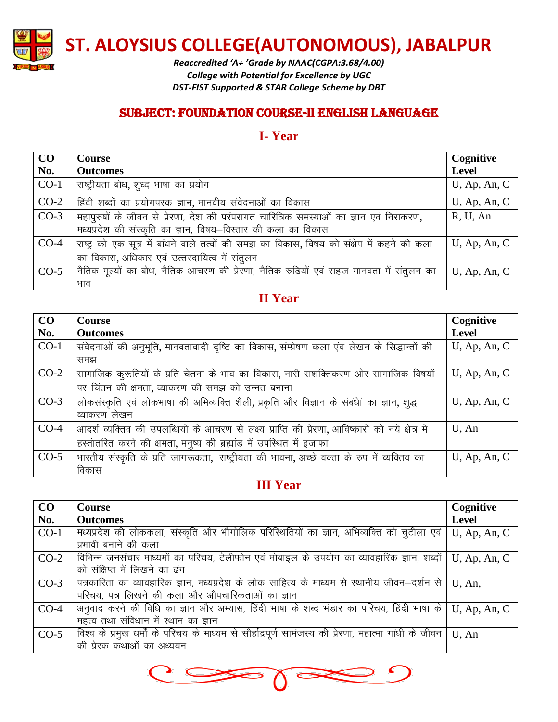

*Reaccredited 'A+ 'Grade by NAAC(CGPA:3.68/4.00) College with Potential for Excellence by UGC DST-FIST Supported & STAR College Scheme by DBT*

## SUBJECT: foundation course-II English language

#### **I- Year**

| CO     | <b>Course</b>                                                                               | Cognitive       |
|--------|---------------------------------------------------------------------------------------------|-----------------|
| No.    | <b>Outcomes</b>                                                                             | <b>Level</b>    |
| $CO-1$ | राष्ट्रीयता बोध, शुध्द भाषा का प्रयोग                                                       | $U$ , Ap, An, C |
| $CO-2$ | हिंदी शब्दों का प्रयोगपरक ज्ञान, मानवीय संवेदनाओं का विकास                                  | $U$ , Ap, An, C |
| $CO-3$ | महापुरुषों के जीवन से प्रेरणा, देश की परंपरागत चारित्रिक समस्याओं का ज्ञान एवं निराकरण,     | R, U, An        |
|        | मध्यप्रदेश की संस्कृति का ज्ञान, विषय-विस्तार की कला का विकास                               |                 |
| $CO-4$ | राष्ट्र को एक सूत्र में बांधने वाले तत्वों की समझ का विकास, विषय को संक्षेप में कहने की कला | $U$ , Ap, An, C |
|        | का विकास, अधिकार एवं उत्तरदायित्व में संतुलन                                                |                 |
| $CO-5$ | नैतिक मूल्यों का बोध, नैतिक आचरण की प्रेरणा, नैतिक रुढियों एवं सहज मानवता में संतुलन का     | $U$ , Ap, An, C |
|        | भाव                                                                                         |                 |

# **II Year**

| CO     | <b>Course</b>                                                                                     | Cognitive       |
|--------|---------------------------------------------------------------------------------------------------|-----------------|
| No.    | <b>Outcomes</b>                                                                                   | Level           |
| $CO-1$ | संवेदनाओं की अनुभूति, मानवतावादी दृष्टि का विकास, संम्प्रेषण कला एंव लेखन के सिद्धान्तों की       | $U$ , Ap, An, C |
|        | समझ                                                                                               |                 |
| $CO-2$ | सामाजिक कुरूतियों के प्रति चेतना के भाव का विकास, नारी सशक्तिकरण ओर सामाजिक विषयों                | $U$ , Ap, An, C |
|        | पर चिंतन की क्षमता, व्याकरण की समझ को उन्नत बनाना                                                 |                 |
| $CO-3$ | लोकसंस्कृति एवं लोकभाषा की अभिव्यक्ति शैली, प्रकृति और विज्ञान के संबंधेां का ज्ञान, शुद्ध        | $U$ , Ap, An, C |
|        | व्याकरण लेखन                                                                                      |                 |
| $CO-4$ | आदर्श व्यक्तिव की उपलब्धियों के आचरण से लक्ष्य प्राप्ति की प्रेरणा, आविष्कारों को नये क्षेत्र में | U, An           |
|        | हस्तांतरित करने की क्षमता, मनुष्य की ब्रह्मांड में उपस्थित में इजाफा                              |                 |
| $CO-5$ | भारतीय संस्कृति के प्रति जागरूकता, राष्ट्रीयता की भावना, अच्छे वक्ता के रुप में व्यक्तिव का       | $U$ , Ap, An, C |
|        | विकास                                                                                             |                 |

# **III Year**

| CO     | <b>Course</b>                                                                                          | Cognitive       |
|--------|--------------------------------------------------------------------------------------------------------|-----------------|
| No.    | <b>Outcomes</b>                                                                                        | <b>Level</b>    |
| $CO-1$ | मध्यप्रदेश की लोककला, संस्कृति और भौगोलिक परिस्थितियों का ज्ञान, अभिव्यक्ति को चुटीला एवं              | $U$ , Ap, An, C |
|        | प्रभावी बनाने की कला                                                                                   |                 |
| $CO-2$ | विभिन्न जनसंचार माध्यमों का परिचय, टेलीफोन एवं मोबाइल के उपयोग का व्यावहारिक ज्ञान, शब्दों             | $U$ , Ap, An, C |
|        | को संक्षिप्त में लिखने का ढंग                                                                          |                 |
| $CO-3$ | पत्रकारिता का व्यावहारिक ज्ञान, मध्यप्रदेश के लोक साहित्य के माध्यम से स्थानीय जीवन–दर्शन से           | U, An,          |
|        | परिचय, पत्र लिखने की कला और औपचारिकताओं का ज्ञान                                                       |                 |
| $CO-4$ | अनुवाद करने की विधि का ज्ञान और अभ्यास, हिंदी भाषा के शब्द भंडार का परिचय, हिंदी भाषा के               | $U$ , Ap, An, C |
|        | महत्व तथा संविधान में स्थान का ज्ञान                                                                   |                 |
| $CO-5$ | विश्व के प्रमुख धर्मों के परिचय के माध्यम से सौर्हाद्रपूर्ण सामंजस्य की प्रेरणा, महात्मा गांधी के जीवन | $U$ , An        |
|        | की प्रेरक कथाओं का अध्ययन                                                                              |                 |

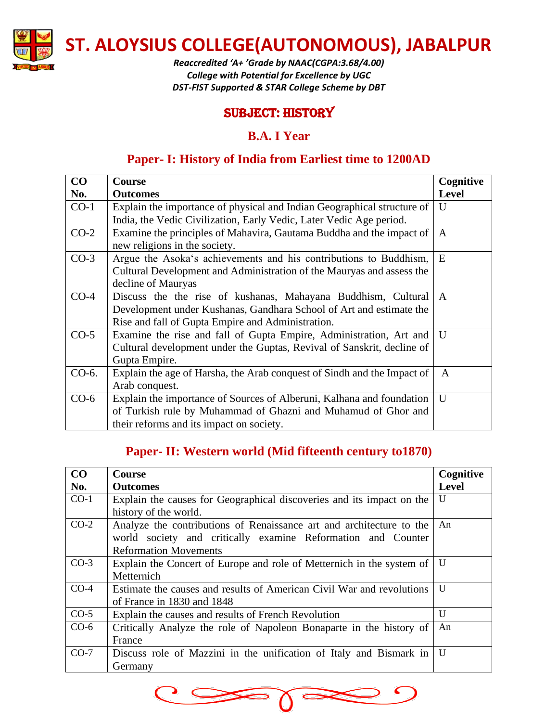

*Reaccredited 'A+ 'Grade by NAAC(CGPA:3.68/4.00) College with Potential for Excellence by UGC DST-FIST Supported & STAR College Scheme by DBT*

## SUBJECT: history

## **B.A. I Year**

# **Paper- I: History of India from Earliest time to 1200AD**

| CO     | Course                                                                  | Cognitive    |
|--------|-------------------------------------------------------------------------|--------------|
| No.    | <b>Outcomes</b>                                                         | <b>Level</b> |
| $CO-1$ | Explain the importance of physical and Indian Geographical structure of | U            |
|        | India, the Vedic Civilization, Early Vedic, Later Vedic Age period.     |              |
| $CO-2$ | Examine the principles of Mahavira, Gautama Buddha and the impact of    | $\mathsf{A}$ |
|        | new religions in the society.                                           |              |
| $CO-3$ | Argue the Asoka's achievements and his contributions to Buddhism,       | E            |
|        | Cultural Development and Administration of the Mauryas and assess the   |              |
|        | decline of Mauryas                                                      |              |
| $CO-4$ | Discuss the the rise of kushanas, Mahayana Buddhism, Cultural           | $\mathbf{A}$ |
|        | Development under Kushanas, Gandhara School of Art and estimate the     |              |
|        | Rise and fall of Gupta Empire and Administration.                       |              |
| $CO-5$ | Examine the rise and fall of Gupta Empire, Administration, Art and      | $\mathbf{U}$ |
|        | Cultural development under the Guptas, Revival of Sanskrit, decline of  |              |
|        | Gupta Empire.                                                           |              |
| CO-6.  | Explain the age of Harsha, the Arab conquest of Sindh and the Impact of | $\mathsf{A}$ |
|        | Arab conquest.                                                          |              |
| $CO-6$ | Explain the importance of Sources of Alberuni, Kalhana and foundation   | $\mathbf{U}$ |
|        | of Turkish rule by Muhammad of Ghazni and Muhamud of Ghor and           |              |
|        | their reforms and its impact on society.                                |              |

# **Paper- II: Western world (Mid fifteenth century to1870)**

| CO     | <b>Course</b>                                                         | Cognitive    |
|--------|-----------------------------------------------------------------------|--------------|
| No.    | <b>Outcomes</b>                                                       | <b>Level</b> |
| $CO-1$ | Explain the causes for Geographical discoveries and its impact on the | U            |
|        | history of the world.                                                 |              |
| $CO-2$ | Analyze the contributions of Renaissance art and architecture to the  | An           |
|        | world society and critically examine Reformation and Counter          |              |
|        | <b>Reformation Movements</b>                                          |              |
| $CO-3$ | Explain the Concert of Europe and role of Metternich in the system of | U            |
|        | Metternich                                                            |              |
| $CO-4$ | Estimate the causes and results of American Civil War and revolutions | U            |
|        | of France in 1830 and 1848                                            |              |
| $CO-5$ | Explain the causes and results of French Revolution                   | U            |
| $CO-6$ | Critically Analyze the role of Napoleon Bonaparte in the history of   | An           |
|        | France                                                                |              |
| $CO-7$ | Discuss role of Mazzini in the unification of Italy and Bismark in    | U            |
|        | Germany                                                               |              |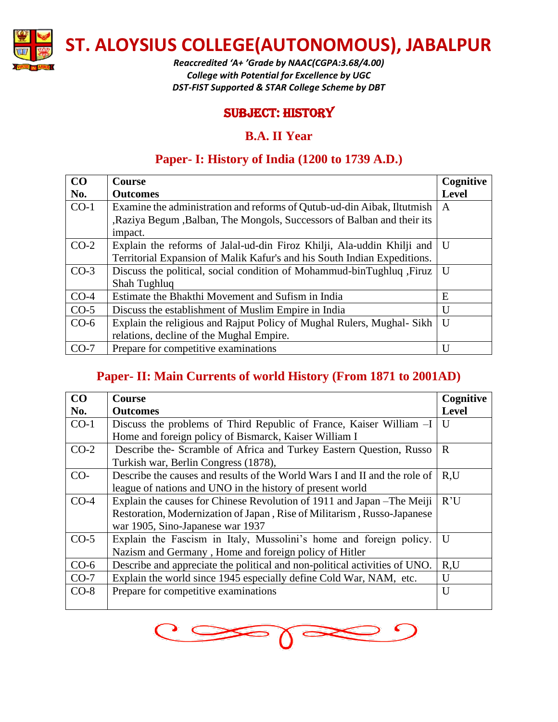

*Reaccredited 'A+ 'Grade by NAAC(CGPA:3.68/4.00) College with Potential for Excellence by UGC DST-FIST Supported & STAR College Scheme by DBT*

## SUBJECT: history

## **B.A. II Year**

# **Paper- I: History of India (1200 to 1739 A.D.)**

| CO     | <b>Course</b>                                                            | Cognitive    |
|--------|--------------------------------------------------------------------------|--------------|
| No.    | <b>Outcomes</b>                                                          | <b>Level</b> |
| $CO-1$ | Examine the administration and reforms of Qutub-ud-din Aibak, Iltutmish  | A            |
|        | , Raziya Begum , Balban, The Mongols, Successors of Balban and their its |              |
|        | impact.                                                                  |              |
| $CO-2$ | Explain the reforms of Jalal-ud-din Firoz Khilji, Ala-uddin Khilji and   | $\mathbf{U}$ |
|        | Territorial Expansion of Malik Kafur's and his South Indian Expeditions. |              |
| $CO-3$ | Discuss the political, social condition of Mohammud-binTughluq, Firuz    | $\mathbf{U}$ |
|        | Shah Tughluq                                                             |              |
| $CO-4$ | Estimate the Bhakthi Movement and Sufism in India                        | E            |
| $CO-5$ | Discuss the establishment of Muslim Empire in India                      | U            |
| $CO-6$ | Explain the religious and Rajput Policy of Mughal Rulers, Mughal-Sikh    | U            |
|        | relations, decline of the Mughal Empire.                                 |              |
| $CO-7$ | Prepare for competitive examinations                                     | $\mathbf{U}$ |

# **Paper- II: Main Currents of world History (From 1871 to 2001AD)**

| CO     | <b>Course</b>                                                              | Cognitive    |
|--------|----------------------------------------------------------------------------|--------------|
| No.    | <b>Outcomes</b>                                                            | <b>Level</b> |
| $CO-1$ | Discuss the problems of Third Republic of France, Kaiser William -I        | $\mathbf{U}$ |
|        | Home and foreign policy of Bismarck, Kaiser William I                      |              |
| $CO-2$ | Describe the-Scramble of Africa and Turkey Eastern Question, Russo         | $\mathbf{R}$ |
|        | Turkish war, Berlin Congress (1878),                                       |              |
| $CO-$  | Describe the causes and results of the World Wars I and II and the role of | R,U          |
|        | league of nations and UNO in the history of present world                  |              |
| $CO-4$ | Explain the causes for Chinese Revolution of 1911 and Japan – The Meiji    | R'U          |
|        | Restoration, Modernization of Japan, Rise of Militarism, Russo-Japanese    |              |
|        | war 1905, Sino-Japanese war 1937                                           |              |
| $CO-5$ | Explain the Fascism in Italy, Mussolini's home and foreign policy.         | U            |
|        | Nazism and Germany, Home and foreign policy of Hitler                      |              |
| $CO-6$ | Describe and appreciate the political and non-political activities of UNO. | R,U          |
| $CO-7$ | Explain the world since 1945 especially define Cold War, NAM, etc.         | $\mathbf{U}$ |
| $CO-8$ | Prepare for competitive examinations                                       | U            |
|        |                                                                            |              |

 $\overline{O}$  $C \infty$